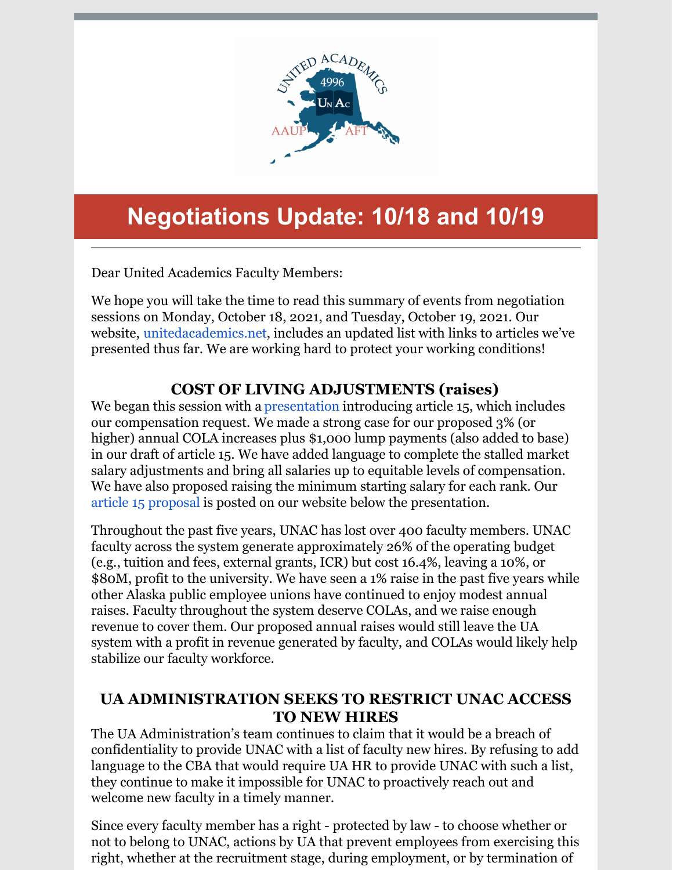

# **Negotiations Update: 10/18 and 10/19**

Dear United Academics Faculty Members:

We hope you will take the time to read this summary of events from negotiation sessions on Monday, October 18, 2021, and Tuesday, October 19, 2021. Our website, [unitedacademics.net](http://unitedacademics.net/), includes an updated list with links to articles we've presented thus far. We are working hard to protect your working conditions!

# **COST OF LIVING ADJUSTMENTS (raises)**

We began this session with a [presentation](http://unitedacademics.net/forms-and-docs/) introducing article 15, which includes our compensation request. We made a strong case for our proposed 3% (or higher) annual COLA increases plus \$1,000 lump payments (also added to base) in our draft of article 15. We have added language to complete the stalled market salary adjustments and bring all salaries up to equitable levels of compensation. We have also proposed raising the minimum starting salary for each rank. Our article 15 [proposal](http://unitedacademics.net/wp-content/uploads/2021/10/Article-15-UNAC-proposal-10-18.pdf) is posted on our website below the presentation.

Throughout the past five years, UNAC has lost over 400 faculty members. UNAC faculty across the system generate approximately 26% of the operating budget (e.g., tuition and fees, external grants, ICR) but cost 16.4%, leaving a 10%, or \$80M, profit to the university. We have seen a 1% raise in the past five years while other Alaska public employee unions have continued to enjoy modest annual raises. Faculty throughout the system deserve COLAs, and we raise enough revenue to cover them. Our proposed annual raises would still leave the UA system with a profit in revenue generated by faculty, and COLAs would likely help stabilize our faculty workforce.

## **UA ADMINISTRATION SEEKS TO RESTRICT UNAC ACCESS TO NEW HIRES**

The UA Administration's team continues to claim that it would be a breach of confidentiality to provide UNAC with a list of faculty new hires. By refusing to add language to the CBA that would require UA HR to provide UNAC with such a list, they continue to make it impossible for UNAC to proactively reach out and welcome new faculty in a timely manner.

Since every faculty member has a right - protected by law - to choose whether or not to belong to UNAC, actions by UA that prevent employees from exercising this right, whether at the recruitment stage, during employment, or by termination of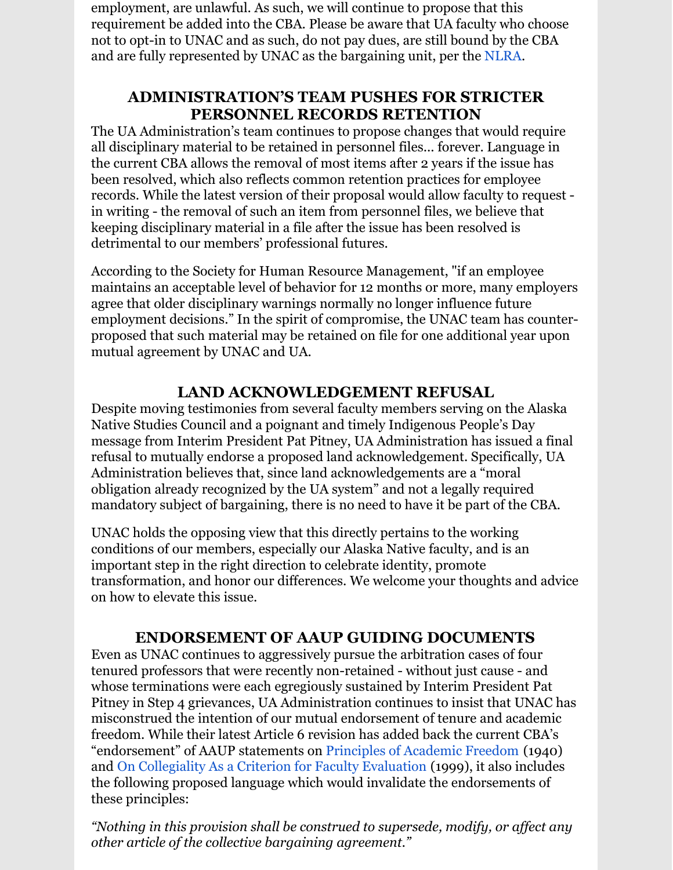employment, are unlawful. As such, we will continue to propose that this requirement be added into the CBA. Please be aware that UA faculty who choose not to opt-in to UNAC and as such, do not pay dues, are still bound by the CBA and are fully represented by UNAC as the bargaining unit, per the [NLRA](https://www.nlrb.gov/about-nlrb/rights-we-protect/the-law/employees/union-dues).

## **ADMINISTRATION'S TEAM PUSHES FOR STRICTER PERSONNEL RECORDS RETENTION**

The UA Administration's team continues to propose changes that would require all disciplinary material to be retained in personnel files... forever. Language in the current CBA allows the removal of most items after 2 years if the issue has been resolved, which also reflects common retention practices for employee records. While the latest version of their proposal would allow faculty to request in writing - the removal of such an item from personnel files, we believe that keeping disciplinary material in a file after the issue has been resolved is detrimental to our members' professional futures.

According to the Society for Human Resource Management, "if an employee maintains an acceptable level of behavior for 12 months or more, many employers agree that older disciplinary warnings normally no longer influence future employment decisions." In the spirit of compromise, the UNAC team has counterproposed that such material may be retained on file for one additional year upon mutual agreement by UNAC and UA.

## **LAND ACKNOWLEDGEMENT REFUSAL**

Despite moving testimonies from several faculty members serving on the Alaska Native Studies Council and a poignant and timely Indigenous People's Day message from Interim President Pat Pitney, UA Administration has issued a final refusal to mutually endorse a proposed land acknowledgement. Specifically, UA Administration believes that, since land acknowledgements are a "moral obligation already recognized by the UA system" and not a legally required mandatory subject of bargaining, there is no need to have it be part of the CBA.

UNAC holds the opposing view that this directly pertains to the working conditions of our members, especially our Alaska Native faculty, and is an important step in the right direction to celebrate identity, promote transformation, and honor our differences. We welcome your thoughts and advice on how to elevate this issue.

## **ENDORSEMENT OF AAUP GUIDING DOCUMENTS**

Even as UNAC continues to aggressively pursue the arbitration cases of four tenured professors that were recently non-retained - without just cause - and whose terminations were each egregiously sustained by Interim President Pat Pitney in Step 4 grievances, UA Administration continues to insist that UNAC has misconstrued the intention of our mutual endorsement of tenure and academic freedom. While their latest Article 6 revision has added back the current CBA's "endorsement" of AAUP statements on [Principles](https://www.aaup.org/file/1940 Statement.pdf) of Academic Freedom (1940) and On [Collegiality](https://www.aaup.org/file/AAUP Collegiality report.pdf) As a Criterion for Faculty Evaluation (1999), it also includes the following proposed language which would invalidate the endorsements of these principles:

*"Nothing in this provision shall be construed to supersede, modify, or af ect any other article of the collective bargaining agreement."*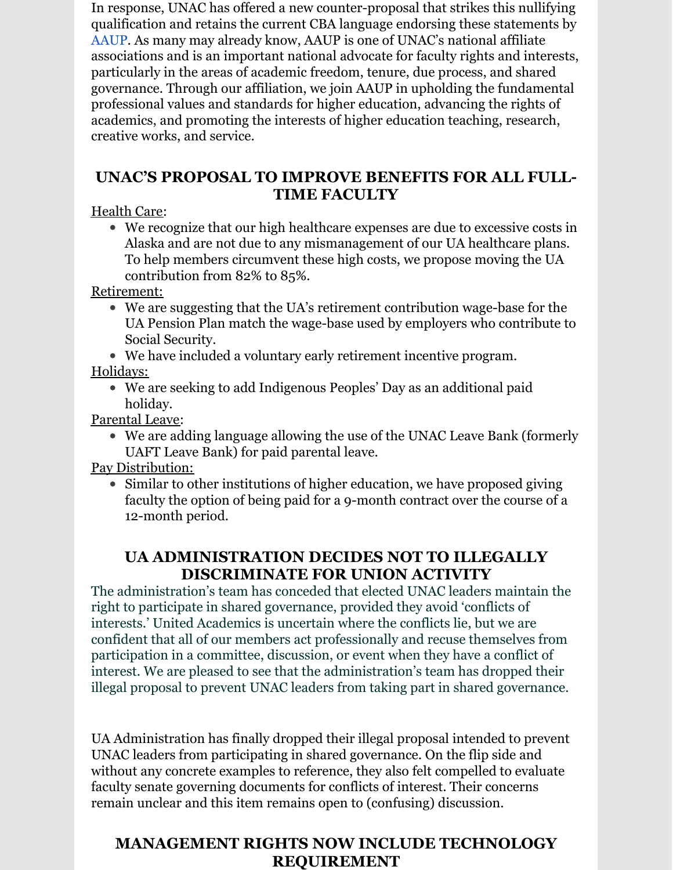In response, UNAC has offered a new counter-proposal that strikes this nullifying qualification and retains the current CBA language endorsing these statements by [AAUP](https://www.aaup.org). As many may already know, AAUP is one of UNAC's national affiliate associations and is an important national advocate for faculty rights and interests, particularly in the areas of academic freedom, tenure, due process, and shared governance. Through our affiliation, we join AAUP in upholding the fundamental professional values and standards for higher education, advancing the rights of academics, and promoting the interests of higher education teaching, research, creative works, and service.

## **UNAC'S PROPOSAL TO IMPROVE BENEFITS FOR ALL FULL-TIME FACULTY**

Health Care:

We recognize that our high healthcare expenses are due to excessive costs in Alaska and are not due to any mismanagement of our UA healthcare plans. To help members circumvent these high costs, we propose moving the UA contribution from 82% to 85%.

Retirement:

- We are suggesting that the UA's retirement contribution wage-base for the UA Pension Plan match the wage-base used by employers who contribute to Social Security.
- We have included a voluntary early retirement incentive program.

Holidays:

We are seeking to add Indigenous Peoples' Day as an additional paid holiday.

Parental Leave:

We are adding language allowing the use of the UNAC Leave Bank (formerly UAFT Leave Bank) for paid parental leave.

Pay Distribution:

Similar to other institutions of higher education, we have proposed giving faculty the option of being paid for a 9-month contract over the course of a 12-month period.

# **UA ADMINISTRATION DECIDES NOT TO ILLEGALLY DISCRIMINATE FOR UNION ACTIVITY**

The administration's team has conceded that elected UNAC leaders maintain the right to participate in shared governance, provided they avoid 'conflicts of interests.' United Academics is uncertain where the conflicts lie, but we are confident that all of our members act professionally and recuse themselves from participation in a committee, discussion, or event when they have a conflict of interest. We are pleased to see that the administration's team has dropped their illegal proposal to prevent UNAC leaders from taking part in shared governance.

UA Administration has finally dropped their illegal proposal intended to prevent UNAC leaders from participating in shared governance. On the flip side and without any concrete examples to reference, they also felt compelled to evaluate faculty senate governing documents for conflicts of interest. Their concerns remain unclear and this item remains open to (confusing) discussion.

## **MANAGEMENT RIGHTS NOW INCLUDE TECHNOLOGY REQUIREMENT**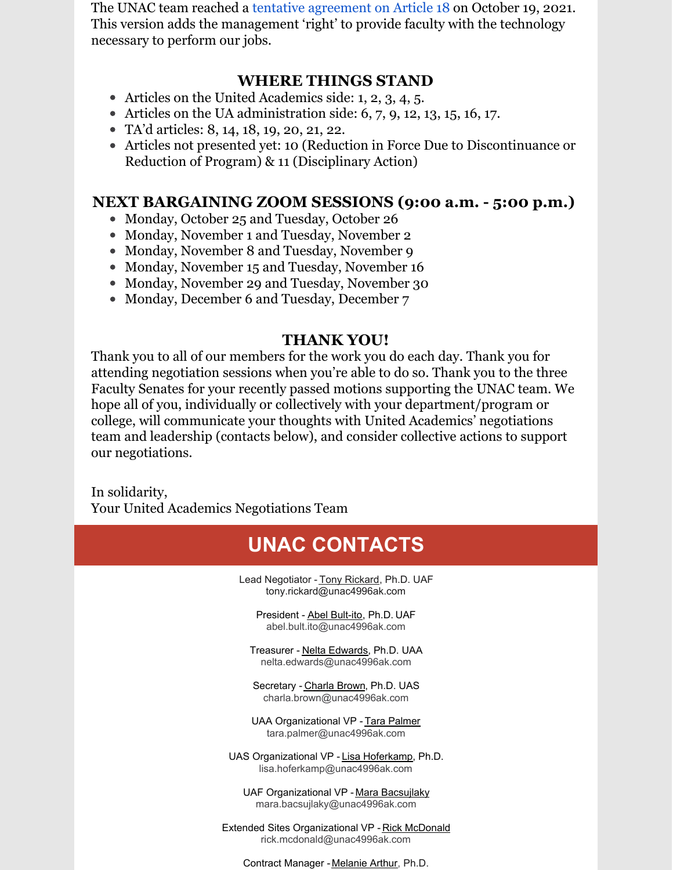The UNAC team reached a tentative [agreement](http://unitedacademics.net/wp-content/uploads/2021/10/Article-18-TAd-10-19-21.pdf) on Article 18 on October 19, 2021. This version adds the management 'right' to provide faculty with the technology necessary to perform our jobs.

#### **WHERE THINGS STAND**

- Articles on the United Academics side: 1, 2, 3, 4, 5.
- $\bullet$  Articles on the UA administration side: 6, 7, 9, 12, 13, 15, 16, 17.
- TA'd articles: 8, 14, 18, 19, 20, 21, 22.
- Articles not presented yet: 10 (Reduction in Force Due to Discontinuance or Reduction of Program) & 11 (Disciplinary Action)

#### **NEXT BARGAINING ZOOM SESSIONS (9:00 a.m. - 5:00 p.m.)**

- Monday, October 25 and Tuesday, October 26
- Monday, November 1 and Tuesday, November 2
- Monday, November 8 and Tuesday, November 9
- Monday, November 15 and Tuesday, November 16
- Monday, November 29 and Tuesday, November 30
- Monday, December 6 and Tuesday, December 7

## **THANK YOU!**

Thank you to all of our members for the work you do each day. Thank you for attending negotiation sessions when you're able to do so. Thank you to the three Faculty Senates for your recently passed motions supporting the UNAC team. We hope all of you, individually or collectively with your department/program or college, will communicate your thoughts with United Academics' negotiations team and leadership (contacts below), and consider collective actions to support our negotiations.

In solidarity, Your United Academics Negotiations Team



Contract Manager - [Melanie](mailto:melanie.arthur@unac4996ak.com) Arthur, Ph.D.